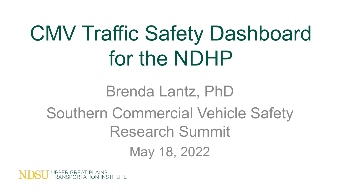# CMV Traffic Safety Dashboard for the NDHP

## Brenda Lantz, PhD Southern Commercial Vehicle Safety Research Summit May 18, 2022

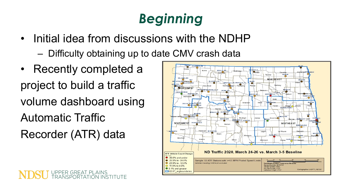## *Beginning*

- Initial idea from discussions with the NDHP
	- Difficulty obtaining up to date CMV crash data
- Recently completed a project to build a traffic volume dashboard using Automatic Traffic Recorder (ATR) data

UPPER GREAT PLAINS<br>TRANSPORTATION INSTITUTE

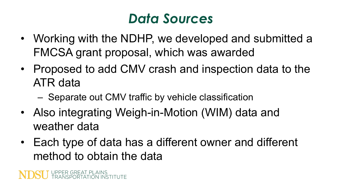#### *Data Sources*

- Working with the NDHP, we developed and submitted a FMCSA grant proposal, which was awarded
- Proposed to add CMV crash and inspection data to the ATR data
	- Separate out CMV traffic by vehicle classification
- Also integrating Weigh-in-Motion (WIM) data and weather data
- Each type of data has a different owner and different method to obtain the data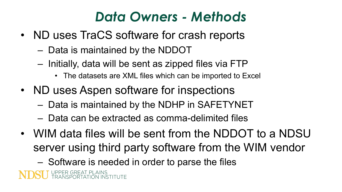#### *Data Owners - Methods*

- ND uses TraCS software for crash reports
	- Data is maintained by the NDDOT
	- Initially, data will be sent as zipped files via FTP
		- The datasets are XML files which can be imported to Excel
- ND uses Aspen software for inspections
	- Data is maintained by the NDHP in SAFETYNET
	- Data can be extracted as comma-delimited files
- WIM data files will be sent from the NDDOT to a NDSU server using third party software from the WIM vendor
	- Software is needed in order to parse the files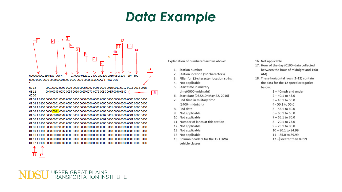#### Data Example





Explanation of numbered arrows above:

- 1. Station number
- Station location (12 characters)  $2.$
- Filler for 12-character location string  $3.$
- 4. Not applicable
- 5. Start time in military time(0000=midnight)
- 6. Start date (052210=May 22, 2010)
- 7. End time in military time (2400=midnight)
- 8. End date
- 9. Not applicable
- 10. Not applicable
- 11. Number of lanes at this station
- 12. Not applicable
- 13. Not applicable
- 14. Not applicable
- 15. Column headers for the 15 FHWA
	- vehicle classes
- 16. Not applicable
- 17. Hour of the day (0100=data collected between the hour of midnight and 1:00 AM)
- 18. These horizontal rows (1-12) contain the data for the 12 speed categories below:
	- 1-40mph and under  $2 - 40.1$  to  $45.0$  $3 - 45.1$  to 50.0
	- 4 50.1 to 55.0
	- $5 55.1$  to  $60.0$
	- $6 60.1$  to  $65.0$
	- $7 65.1$  to  $70.0$
	- $8 70.1$  to  $75.0$
	- $9 75.1$  to 80.0
	- $10 80.1$  to 84.99
	- $11 85.0$  to 89.99
	-
	- 12 Greater than 89.99